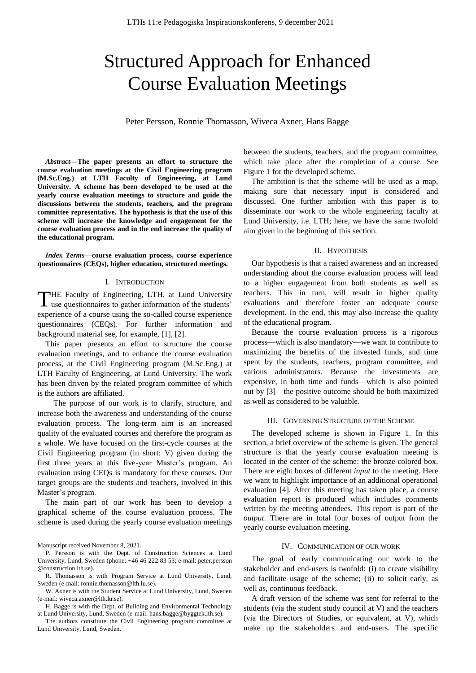# Structured Approach for Enhanced Course Evaluation Meetings

Peter Persson, Ronnie Thomasson, Wiveca Axner, Hans Bagge

*Abstract***—The paper presents an effort to structure the course evaluation meetings at the Civil Engineering program (M.Sc.Eng.) at LTH Faculty of Engineering, at Lund University. A scheme has been developed to be used at the yearly course evaluation meetings to structure and guide the discussions between the students, teachers, and the program committee representative. The hypothesis is that the use of this scheme will increase the knowledge and engagement for the course evaluation process and in the end increase the quality of the educational program.**

*Index Terms***—course evaluation process, course experience questionnaires (CEQs), higher education, structured meetings.** 

#### I. INTRODUCTION

**HE Faculty of Engineering, LTH, at Lund University** THE Faculty of Engineering, LTH, at Lund University use questionnaires to gather information of the students' experience of a course using the so-called course experience questionnaires (CEQs). For further information and background material see, for example, [1], [2].

This paper presents an effort to structure the course evaluation meetings, and to enhance the course evaluation process, at the Civil Engineering program (M.Sc.Eng.) at LTH Faculty of Engineering, at Lund University. The work has been driven by the related program committee of which is the authors are affiliated.

The purpose of our work is to clarify, structure, and increase both the awareness and understanding of the course evaluation process. The long-term aim is an increased quality of the evaluated courses and therefore the program as a whole. We have focused on the first-cycle courses at the Civil Engineering program (in short: V) given during the first three years at this five-year Master's program. An evaluation using CEQs is mandatory for these courses. Our target groups are the students and teachers, involved in this Master's program.

The main part of our work has been to develop a graphical scheme of the course evaluation process. The scheme is used during the yearly course evaluation meetings between the students, teachers, and the program committee, which take place after the completion of a course. See Figure 1 for the developed scheme.

The ambition is that the scheme will be used as a map, making sure that necessary input is considered and discussed. One further ambition with this paper is to disseminate our work to the whole engineering faculty at Lund University, i.e. LTH; here, we have the same twofold aim given in the beginning of this section.

# II. HYPOTHESIS

Our hypothesis is that a raised awareness and an increased understanding about the course evaluation process will lead to a higher engagement from both students as well as teachers. This in turn, will result in higher quality evaluations and therefore foster an adequate course development. In the end, this may also increase the quality of the educational program.

Because the course evaluation process is a rigorous process—which is also mandatory—we want to contribute to maximizing the benefits of the invested funds, and time spent by the students, teachers, program committee, and various administrators. Because the investments are expensive, in both time and funds—which is also pointed out by [3]—the positive outcome should be both maximized as well as considered to be valuable.

## III. GOVERNING STRUCTURE OF THE SCHEME

The developed scheme is shown in Figure 1. In this section, a brief overview of the scheme is given. The general structure is that the yearly course evaluation meeting is located in the center of the scheme: the bronze colored box. There are eight boxes of different *input* to the meeting. Here we want to highlight importance of an additional operational evaluation [4]. After this meeting has taken place, a course evaluation report is produced which includes comments written by the meeting attendees. This report is part of the *output*. There are in total four boxes of output from the yearly course evaluation meeting.

# IV. COMMUNICATION OF OUR WORK

The goal of early communicating our work to the stakeholder and end-users is twofold: (i) to create visibility and facilitate usage of the scheme; (ii) to solicit early, as well as, continuous feedback.

A draft version of the scheme was sent for referral to the students (via the student study council at V) and the teachers (via the Directors of Studies, or equivalent, at V), which make up the stakeholders and end-users. The specific

Manuscript received November 8, 2021.

P. Persson is with the Dept. of Construction Sciences at Lund University, Lund, Sweden (phone: +46 46 222 83 53; e-mail: peter.persson @construction.lth.se).

R. Thomasson is with Program Service at Lund University, Lund, Sweden (e-mail: ronnie.thomasson@lth.lu.se).

W. Axner is with the Student Service at Lund University, Lund, Sweden (e-mail: wiveca.axner@lth.lu.se).

H. Bagge is with the Dept. of Building and Environmental Technology at Lund University, Lund, Sweden (e-mail: hans.bagge@byggtek.lth.se).

The authors constitute the Civil Engineering program committee at Lund University, Lund, Sweden.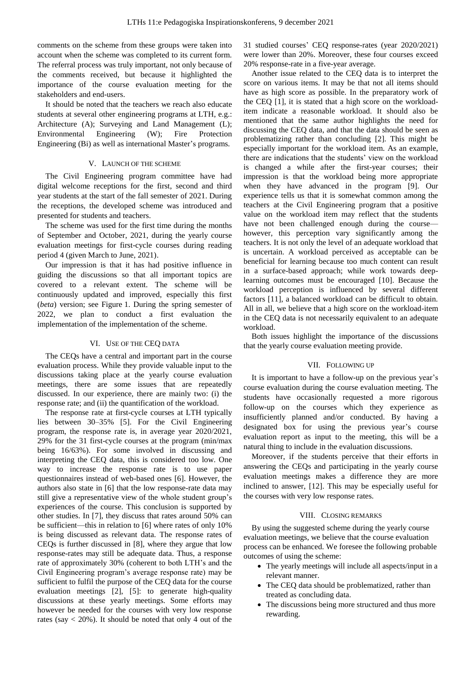comments on the scheme from these groups were taken into account when the scheme was completed to its current form. The referral process was truly important, not only because of the comments received, but because it highlighted the importance of the course evaluation meeting for the stakeholders and end-users.

It should be noted that the teachers we reach also educate students at several other engineering programs at LTH, e.g.: Architecture (A); Surveying and Land Management (L); Environmental Engineering (W); Fire Protection Engineering (Bi) as well as international Master's programs.

# V. LAUNCH OF THE SCHEME

The Civil Engineering program committee have had digital welcome receptions for the first, second and third year students at the start of the fall semester of 2021. During the receptions, the developed scheme was introduced and presented for students and teachers.

The scheme was used for the first time during the months of September and October, 2021, during the yearly course evaluation meetings for first-cycle courses during reading period 4 (given March to June, 2021).

Our impression is that it has had positive influence in guiding the discussions so that all important topics are covered to a relevant extent. The scheme will be continuously updated and improved, especially this first (*beta*) version; see Figure 1. During the spring semester of 2022, we plan to conduct a first evaluation the implementation of the implementation of the scheme.

## VI. USE OF THE CEQ DATA

The CEQs have a central and important part in the course evaluation process. While they provide valuable input to the discussions taking place at the yearly course evaluation meetings, there are some issues that are repeatedly discussed. In our experience, there are mainly two: (i) the response rate; and (ii) the quantification of the workload.

The response rate at first-cycle courses at LTH typically lies between 30–35% [5]. For the Civil Engineering program, the response rate is, in average year 2020/2021, 29% for the 31 first-cycle courses at the program (min/max being 16/63%). For some involved in discussing and interpreting the CEQ data, this is considered too low. One way to increase the response rate is to use paper questionnaires instead of web-based ones [6]. However, the authors also state in [6] that the low response-rate data may still give a representative view of the whole student group's experiences of the course. This conclusion is supported by other studies. In [7], they discuss that rates around 50% can be sufficient—this in relation to [6] where rates of only 10% is being discussed as relevant data. The response rates of CEQs is further discussed in [8], where they argue that low response-rates may still be adequate data. Thus, a response rate of approximately 30% (coherent to both LTH's and the Civil Engineering program's average response rate) may be sufficient to fulfil the purpose of the CEQ data for the course evaluation meetings [2], [5]: to generate high-quality discussions at these yearly meetings. Some efforts may however be needed for the courses with very low response rates (say  $< 20\%$ ). It should be noted that only 4 out of the

31 studied courses' CEQ response-rates (year 2020/2021) were lower than 20%. Moreover, these four courses exceed 20% response-rate in a five-year average.

Another issue related to the CEQ data is to interpret the score on various items. It may be that not all items should have as high score as possible. In the preparatory work of the CEQ [1], it is stated that a high score on the workloaditem indicate a reasonable workload. It should also be mentioned that the same author highlights the need for discussing the CEQ data, and that the data should be seen as problematizing rather than concluding [2]. This might be especially important for the workload item. As an example, there are indications that the students' view on the workload is changed a while after the first-year courses; their impression is that the workload being more appropriate when they have advanced in the program [9]. Our experience tells us that it is somewhat common among the teachers at the Civil Engineering program that a positive value on the workload item may reflect that the students have not been challenged enough during the course however, this perception vary significantly among the teachers. It is not only the level of an adequate workload that is uncertain. A workload perceived as acceptable can be beneficial for learning because too much content can result in a surface-based approach; while work towards deeplearning outcomes must be encouraged [10]. Because the workload perception is influenced by several different factors [11], a balanced workload can be difficult to obtain. All in all, we believe that a high score on the workload-item in the CEQ data is not necessarily equivalent to an adequate workload.

Both issues highlight the importance of the discussions that the yearly course evaluation meeting provide.

#### VII. FOLLOWING UP

It is important to have a follow-up on the previous year's course evaluation during the course evaluation meeting. The students have occasionally requested a more rigorous follow-up on the courses which they experience as insufficiently planned and/or conducted. By having a designated box for using the previous year's course evaluation report as input to the meeting, this will be a natural thing to include in the evaluation discussions.

Moreover, if the students perceive that their efforts in answering the CEQs and participating in the yearly course evaluation meetings makes a difference they are more inclined to answer, [12]. This may be especially useful for the courses with very low response rates.

## VIII. CLOSING REMARKS

By using the suggested scheme during the yearly course evaluation meetings, we believe that the course evaluation process can be enhanced. We foresee the following probable outcomes of using the scheme:

- The yearly meetings will include all aspects/input in a relevant manner.
- The CEQ data should be problematized, rather than treated as concluding data.
- The discussions being more structured and thus more rewarding.